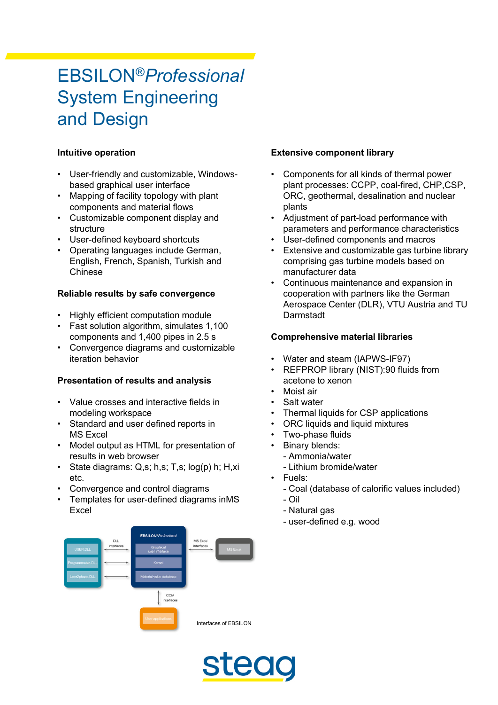# EBSILON®*Professional* System Engineering and Design

## **Intuitive operation**

- User-friendly and customizable, Windowsbased graphical user interface
- Mapping of facility topology with plant components and material flows
- Customizable component display and structure
- User-defined keyboard shortcuts
- Operating languages include German, English, French, Spanish, Turkish and Chinese

#### **Reliable results by safe convergence**

- Highly efficient computation module
- Fast solution algorithm, simulates 1,100 components and 1,400 pipes in 2.5 s
- Convergence diagrams and customizable iteration behavior

## **Presentation of results and analysis**

- Value crosses and interactive fields in modeling workspace
- Standard and user defined reports in MS Excel
- Model output as HTML for presentation of results in web browser
- State diagrams: Q,s; h,s; T,s; log(p) h; H,xi etc.
- Convergence and control diagrams
- Templates for user-defined diagrams inMS Excel

#### **Extensive component library**

- Components for all kinds of thermal power plant processes: CCPP, coal-fired, CHP,CSP, ORC, geothermal, desalination and nuclear plants
- Adjustment of part-load performance with parameters and performance characteristics
- User-defined components and macros
- Extensive and customizable gas turbine library comprising gas turbine models based on manufacturer data
- Continuous maintenance and expansion in cooperation with partners like the German Aerospace Center (DLR), VTU Austria and TU **Darmstadt**

#### **Comprehensive material libraries**

- Water and steam (IAPWS-IF97)
- REFPROP library (NIST):90 fluids from acetone to xenon
- Moist air
- Salt water
- Thermal liquids for CSP applications
- ORC liquids and liquid mixtures
- Two-phase fluids
- Binary blends:
- Ammonia/water
- Lithium bromide/water
- Fuels:
	- Coal (database of calorific values included)
	- Oil
	- Natural gas
	- user-defined e.g. wood